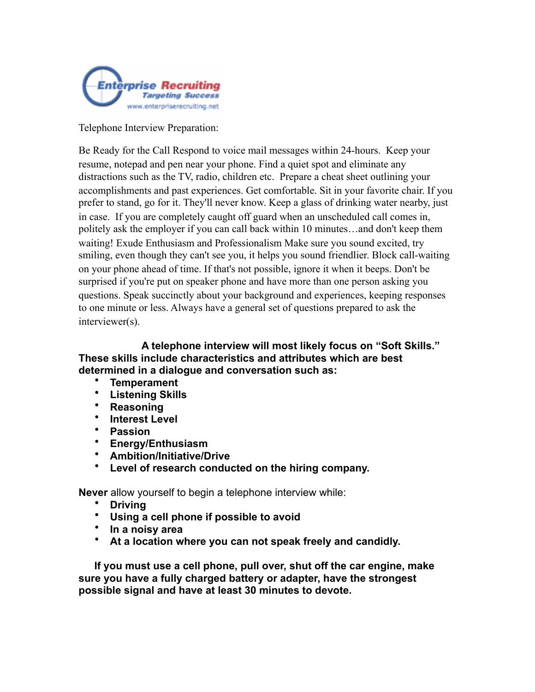

Telephone Interview Preparation:

Be Ready for the Call Respond to voice mail messages within 24-hours. Keep your resume, notepad and pen near your phone. Find a quiet spot and eliminate any distractions such as the TV, radio, children etc. Prepare a cheat sheet outlining your accomplishments and past experiences. Get comfortable. Sit in your favorite chair. If you prefer to stand, go for it. They'll never know. Keep a glass of drinking water nearby, just in case. If you are completely caught off guard when an unscheduled call comes in, politely ask the employer if you can call back within 10 minutes…and don't keep them waiting! Exude Enthusiasm and Professionalism Make sure you sound excited, try smiling, even though they can't see you, it helps you sound friendlier. Block call-waiting on your phone ahead of time. If that's not possible, ignore it when it beeps. Don't be surprised if you're put on speaker phone and have more than one person asking you questions. Speak succinctly about your background and experiences, keeping responses to one minute or less. Always have a general set of questions prepared to ask the interviewer(s).

 **A telephone interview will most likely focus on "Soft Skills." These skills include characteristics and attributes which are best determined in a dialogue and conversation such as:** 

- **Temperament**
- **Listening Skills**
- **Reasoning**
- **Interest Level**
- **Passion**
- **Energy/Enthusiasm**
- **Ambition/Initiative/Drive**
- **Level of research conducted on the hiring company.**

**Never** allow yourself to begin a telephone interview while:

- **Driving**
- **Using a cell phone if possible to avoid**
- **In a noisy area**
- **At a location where you can not speak freely and candidly.**

**If you must use a cell phone, pull over, shut off the car engine, make sure you have a fully charged battery or adapter, have the strongest possible signal and have at least 30 minutes to devote.**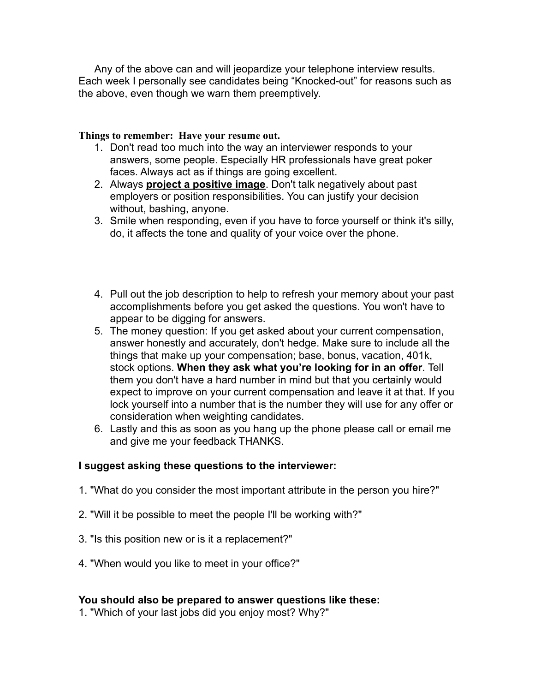Any of the above can and will jeopardize your telephone interview results. Each week I personally see candidates being "Knocked-out" for reasons such as the above, even though we warn them preemptively.

## **Things to remember: Have your resume out.**

- 1. Don't read too much into the way an interviewer responds to your answers, some people. Especially HR professionals have great poker faces. Always act as if things are going excellent.
- 2. Always **project a positive image**. Don't talk negatively about past employers or position responsibilities. You can justify your decision without, bashing, anyone.
- 3. Smile when responding, even if you have to force yourself or think it's silly, do, it affects the tone and quality of your voice over the phone.
- 4. Pull out the job description to help to refresh your memory about your past accomplishments before you get asked the questions. You won't have to appear to be digging for answers.
- 5. The money question: If you get asked about your current compensation, answer honestly and accurately, don't hedge. Make sure to include all the things that make up your compensation; base, bonus, vacation, 401k, stock options. **When they ask what you're looking for in an offer**. Tell them you don't have a hard number in mind but that you certainly would expect to improve on your current compensation and leave it at that. If you lock yourself into a number that is the number they will use for any offer or consideration when weighting candidates.
- 6. Lastly and this as soon as you hang up the phone please call or email me and give me your feedback THANKS.

## **I suggest asking these questions to the interviewer:**

- 1. "What do you consider the most important attribute in the person you hire?"
- 2. "Will it be possible to meet the people I'll be working with?"
- 3. "Is this position new or is it a replacement?"
- 4. "When would you like to meet in your office?"

## **You should also be prepared to answer questions like these:**

1. "Which of your last jobs did you enjoy most? Why?"